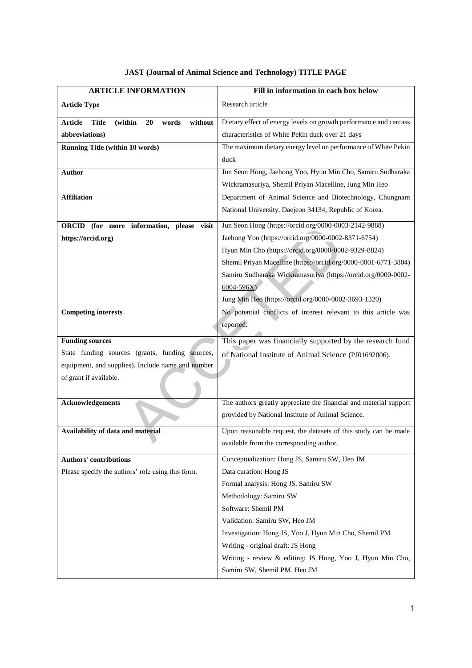| <b>ARTICLE INFORMATION</b>                                          | Fill in information in each box below                             |
|---------------------------------------------------------------------|-------------------------------------------------------------------|
| <b>Article Type</b>                                                 | Research article                                                  |
| without<br><b>Article</b><br><b>Title</b><br>(within<br>20<br>words | Dietary effect of energy levels on growth performance and carcass |
| abbreviations)                                                      | characteristics of White Pekin duck over 21 days                  |
| <b>Running Title (within 10 words)</b>                              | The maximum dietary energy level on performance of White Pekin    |
|                                                                     | duck                                                              |
| <b>Author</b>                                                       | Jun Seon Hong, Jaehong Yoo, Hyun Min Cho, Samiru Sudharaka        |
|                                                                     | Wickramasuriya, Shemil Priyan Macelline, Jung Min Heo             |
| <b>Affiliation</b>                                                  | Department of Animal Science and Biotechnology, Chungnam          |
|                                                                     | National University, Daejeon 34134, Republic of Korea.            |
| <b>ORCID</b><br>(for more information, please visit                 | Jun Seon Hong (https://orcid.org/0000-0003-2142-9888)             |
| https://orcid.org)                                                  | Jaehong Yoo (https://orcid.org/0000-0002-8371-6754)               |
|                                                                     | Hyun Min Cho (https://orcid.org/0000-0002-9329-8824)              |
|                                                                     | Shemil Priyan Macelline (https://orcid.org/0000-0001-6771-3804)   |
|                                                                     | Samiru Sudharaka Wickramasuriya (https://orcid.org/0000-0002-     |
|                                                                     | $6004 - 596X$                                                     |
|                                                                     | Jung Min Heo (https://orcid.org/0000-0002-3693-1320)              |
| <b>Competing interests</b>                                          | No potential conflicts of interest relevant to this article was   |
|                                                                     | reported.                                                         |
| <b>Funding sources</b>                                              | This paper was financially supported by the research fund         |
| State funding sources (grants, funding sources,                     | of National Institute of Animal Science (PJ01692006).             |
| equipment, and supplies). Include name and number                   |                                                                   |
| of grant if available.                                              |                                                                   |
|                                                                     |                                                                   |
| <b>Acknowledgements</b>                                             | The authors greatly appreciate the financial and material support |
|                                                                     | provided by National Institute of Animal Science.                 |
| Availability of data and material                                   | Upon reasonable request, the datasets of this study can be made   |
|                                                                     | available from the corresponding author.                          |
| <b>Authors' contributions</b>                                       | Conceptualization: Hong JS, Samiru SW, Heo JM                     |
| Please specify the authors' role using this form.                   | Data curation: Hong JS                                            |
|                                                                     | Formal analysis: Hong JS, Samiru SW                               |
|                                                                     | Methodology: Samiru SW                                            |
|                                                                     | Software: Shemil PM                                               |
|                                                                     | Validation: Samiru SW, Heo JM                                     |
|                                                                     | Investigation: Hong JS, Yoo J, Hyun Min Cho, Shemil PM            |
|                                                                     | Writing - original draft: JS Hong                                 |
|                                                                     | Writing - review & editing: JS Hong, Yoo J, Hyun Min Cho,         |
|                                                                     | Samiru SW, Shemil PM, Heo JM                                      |

 $\mathsf{l}$ 

## **JAST (Journal of Animal Science and Technology) TITLE PAGE**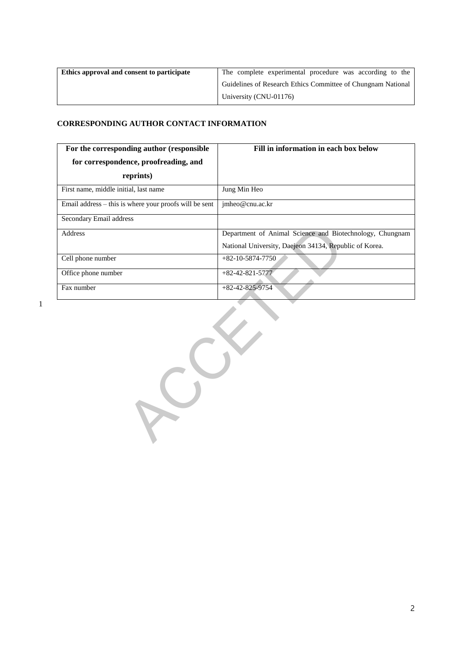| Ethics approval and consent to participate | The complete experimental procedure was according to the     |
|--------------------------------------------|--------------------------------------------------------------|
|                                            | Guidelines of Research Ethics Committee of Chungnam National |
|                                            | University (CNU-01176)                                       |

### **CORRESPONDING AUTHOR CONTACT INFORMATION**

| For the corresponding author (responsible)               | Fill in information in each box below                    |
|----------------------------------------------------------|----------------------------------------------------------|
| for correspondence, proofreading, and                    |                                                          |
| reprints)                                                |                                                          |
| First name, middle initial, last name                    | Jung Min Heo                                             |
| Email address $-$ this is where your proofs will be sent | imheo@cnu.ac.kr                                          |
| Secondary Email address                                  |                                                          |
| <b>Address</b>                                           | Department of Animal Science and Biotechnology, Chungnam |
|                                                          | National University, Daejeon 34134, Republic of Korea.   |
| Cell phone number                                        | $+82-10-5874-7750$                                       |
| Office phone number                                      | $+82-42-821-5777$                                        |
| Fax number                                               | $+82-42-825-9754$                                        |

1

Department of Animal Science and Biotechn<br>
National University, Daejeon 34134, Republic<br>
+82-10-5874-7750<br>
+82-42-821-5777<br>
+82-42-825-9754<br>
+82-42-825-9754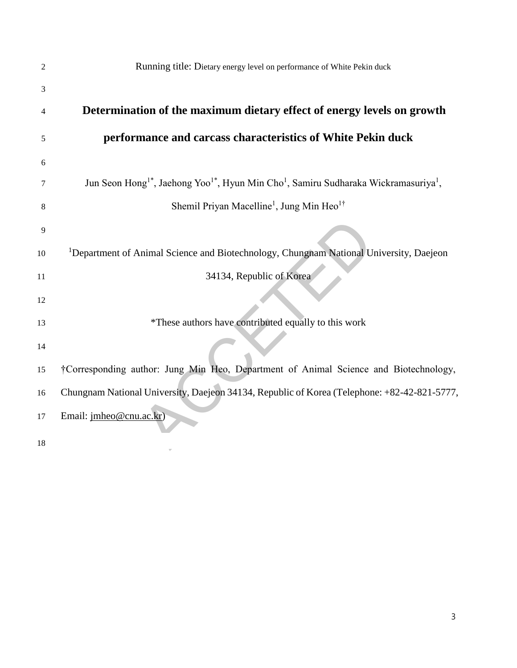| 2  | Running title: Dietary energy level on performance of White Pekin duck                                                               |
|----|--------------------------------------------------------------------------------------------------------------------------------------|
| 3  |                                                                                                                                      |
| 4  | Determination of the maximum dietary effect of energy levels on growth                                                               |
| 5  | performance and carcass characteristics of White Pekin duck                                                                          |
| 6  |                                                                                                                                      |
| 7  | Jun Seon Hong <sup>1*</sup> , Jaehong Yoo <sup>1*</sup> , Hyun Min Cho <sup>1</sup> , Samiru Sudharaka Wickramasuriya <sup>1</sup> , |
| 8  | Shemil Priyan Macelline <sup>1</sup> , Jung Min Heo <sup>1†</sup>                                                                    |
| 9  |                                                                                                                                      |
| 10 | <sup>1</sup> Department of Animal Science and Biotechnology, Chungnam National University, Daejeon                                   |
| 11 | 34134, Republic of Korea                                                                                                             |
| 12 |                                                                                                                                      |
| 13 | *These authors have contributed equally to this work                                                                                 |
| 14 |                                                                                                                                      |
| 15 | †Corresponding author: Jung Min Heo, Department of Animal Science and Biotechnology,                                                 |
| 16 | Chungnam National University, Daejeon 34134, Republic of Korea (Telephone: +82-42-821-5777,                                          |
| 17 | Email: jmheo@cnu.ac.kr)                                                                                                              |
| 18 |                                                                                                                                      |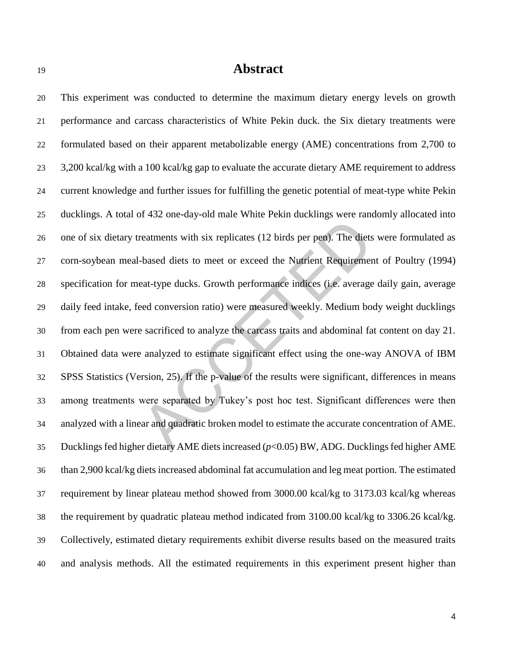# **Abstract**

reatments with six replicates (12 birds per pen). The diets we-based diets to meet or exceed the Nutrient Requirement of eat-type ducks. Growth performance indices (i.e. average daired conversion ratio) were measured week This experiment was conducted to determine the maximum dietary energy levels on growth performance and carcass characteristics of White Pekin duck. the Six dietary treatments were formulated based on their apparent metabolizable energy (AME) concentrations from 2,700 to 3,200 kcal/kg with a 100 kcal/kg gap to evaluate the accurate dietary AME requirement to address current knowledge and further issues for fulfilling the genetic potential of meat-type white Pekin ducklings. A total of 432 one-day-old male White Pekin ducklings were randomly allocated into one of six dietary treatments with six replicates (12 birds per pen). The diets were formulated as corn-soybean meal-based diets to meet or exceed the Nutrient Requirement of Poultry (1994) specification for meat-type ducks. Growth performance indices (i.e. average daily gain, average daily feed intake, feed conversion ratio) were measured weekly. Medium body weight ducklings from each pen were sacrificed to analyze the carcass traits and abdominal fat content on day 21. Obtained data were analyzed to estimate significant effect using the one-way ANOVA of IBM SPSS Statistics (Version, 25). If the p-value of the results were significant, differences in means among treatments were separated by Tukey's post hoc test. Significant differences were then analyzed with a linear and quadratic broken model to estimate the accurate concentration of AME. Ducklings fed higher dietary AME diets increased (*p*<0.05) BW, ADG. Ducklings fed higher AME than 2,900 kcal/kg diets increased abdominal fat accumulation and leg meat portion. The estimated requirement by linear plateau method showed from 3000.00 kcal/kg to 3173.03 kcal/kg whereas the requirement by quadratic plateau method indicated from 3100.00 kcal/kg to 3306.26 kcal/kg. Collectively, estimated dietary requirements exhibit diverse results based on the measured traits and analysis methods. All the estimated requirements in this experiment present higher than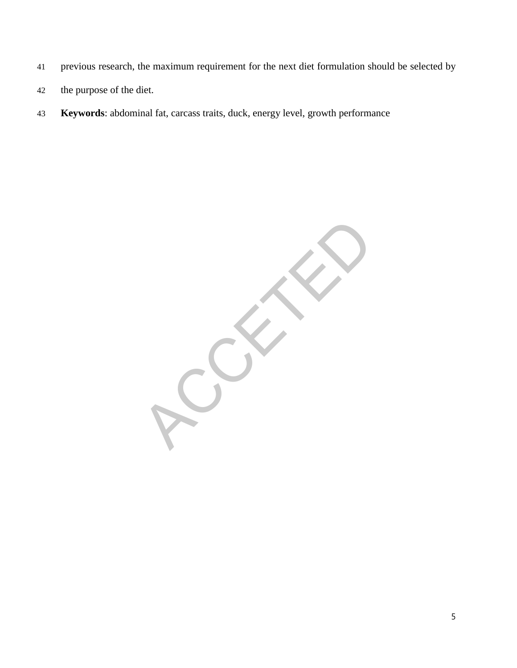- previous research, the maximum requirement for the next diet formulation should be selected by
- the purpose of the diet.
- **Keywords**: abdominal fat, carcass traits, duck, energy level, growth performance

RECK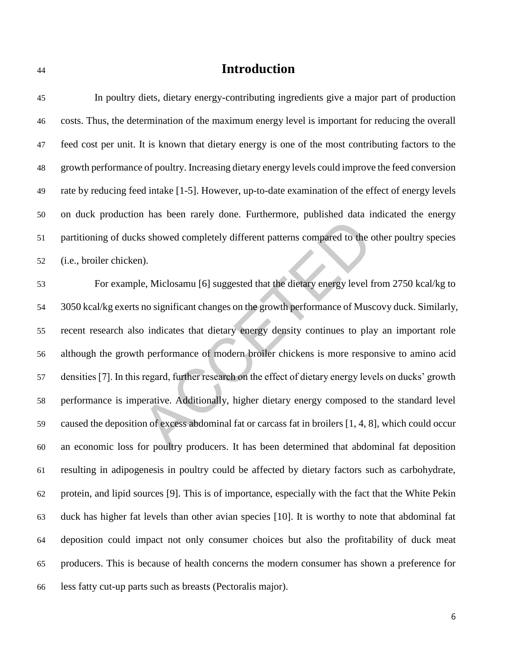# **Introduction**

| 45 | In poultry diets, dietary energy-contributing ingredients give a major part of production               |
|----|---------------------------------------------------------------------------------------------------------|
| 46 | costs. Thus, the determination of the maximum energy level is important for reducing the overall        |
| 47 | feed cost per unit. It is known that dietary energy is one of the most contributing factors to the      |
| 48 | growth performance of poultry. Increasing dietary energy levels could improve the feed conversion       |
| 49 | rate by reducing feed intake [1-5]. However, up-to-date examination of the effect of energy levels      |
| 50 | on duck production has been rarely done. Furthermore, published data indicated the energy               |
| 51 | partitioning of ducks showed completely different patterns compared to the other poultry species        |
| 52 | (i.e., broiler chicken).                                                                                |
| 53 | For example, Miclosamu [6] suggested that the dietary energy level from 2750 kcal/kg to                 |
| 54 | 3050 kcal/kg exerts no significant changes on the growth performance of Muscovy duck. Similarly,        |
| 55 | recent research also indicates that dietary energy density continues to play an important role          |
| 56 | although the growth performance of modern broiler chickens is more responsive to amino acid             |
| 57 | densities [7]. In this regard, further research on the effect of dietary energy levels on ducks' growth |
| 58 | performance is imperative. Additionally, higher dietary energy composed to the standard level           |
| 59 | caused the deposition of excess abdominal fat or carcass fat in broilers [1, 4, 8], which could occur   |
| 60 | an economic loss for poultry producers. It has been determined that abdominal fat deposition            |
| 61 | resulting in adipogenesis in poultry could be affected by dietary factors such as carbohydrate,         |
| 62 | protein, and lipid sources [9]. This is of importance, especially with the fact that the White Pekin    |
| 63 | duck has higher fat levels than other avian species [10]. It is worthy to note that abdominal fat       |
| 64 | deposition could impact not only consumer choices but also the profitability of duck meat               |
| 65 | producers. This is because of health concerns the modern consumer has shown a preference for            |
| 66 | less fatty cut-up parts such as breasts (Pectoralis major).                                             |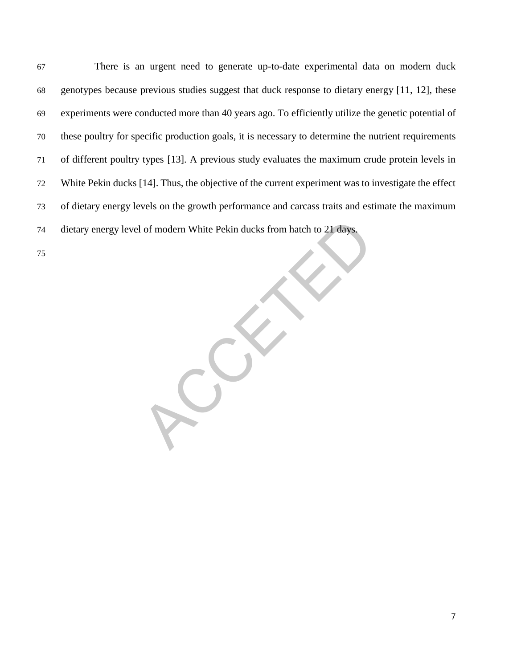of modern White Pekin ducks from hatch to 21 days. There is an urgent need to generate up-to-date experimental data on modern duck genotypes because previous studies suggest that duck response to dietary energy [11, 12], these experiments were conducted more than 40 years ago. To efficiently utilize the genetic potential of these poultry for specific production goals, it is necessary to determine the nutrient requirements of different poultry types [13]. A previous study evaluates the maximum crude protein levels in White Pekin ducks [14]. Thus, the objective of the current experiment was to investigate the effect of dietary energy levels on the growth performance and carcass traits and estimate the maximum dietary energy level of modern White Pekin ducks from hatch to 21 days.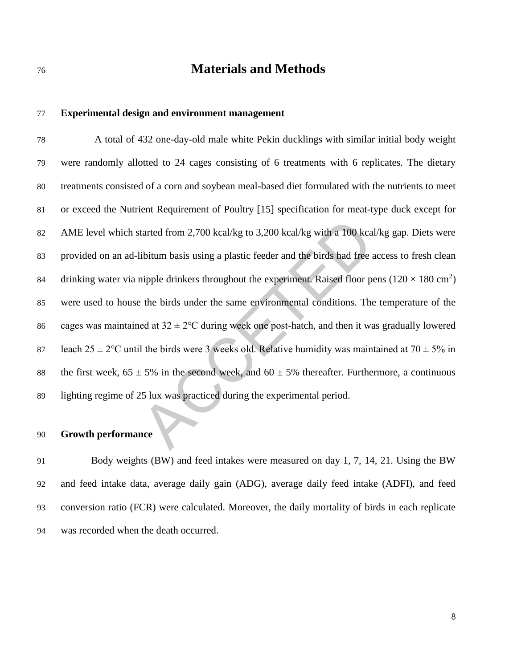# **Materials and Methods**

#### **Experimental design and environment management**

tarted from 2,700 kcal/kg to 3,200 kcal/kg with a 100 kcal/kg<br>ibitum basis using a plastic feeder and the birds had free acce<br>nipple drinkers throughout the experiment. Raised floor pens<br>the birds under the same environme A total of 432 one-day-old male white Pekin ducklings with similar initial body weight were randomly allotted to 24 cages consisting of 6 treatments with 6 replicates. The dietary treatments consisted of a corn and soybean meal-based diet formulated with the nutrients to meet or exceed the Nutrient Requirement of Poultry [15] specification for meat-type duck except for AME level which started from 2,700 kcal/kg to 3,200 kcal/kg with a 100 kcal/kg gap. Diets were provided on an ad-libitum basis using a plastic feeder and the birds had free access to fresh clean 84 drinking water via nipple drinkers throughout the experiment. Raised floor pens ( $120 \times 180 \text{ cm}^2$ ) were used to house the birds under the same environmental conditions. The temperature of the 86 cages was maintained at  $32 \pm 2$ °C during week one post-hatch, and then it was gradually lowered 87 leach  $25 \pm 2$ °C until the birds were 3 weeks old. Relative humidity was maintained at  $70 \pm 5\%$  in 88 the first week,  $65 \pm 5\%$  in the second week, and  $60 \pm 5\%$  thereafter. Furthermore, a continuous lighting regime of 25 lux was practiced during the experimental period.

#### **Growth performance**

 Body weights (BW) and feed intakes were measured on day 1, 7, 14, 21. Using the BW and feed intake data, average daily gain (ADG), average daily feed intake (ADFI), and feed conversion ratio (FCR) were calculated. Moreover, the daily mortality of birds in each replicate was recorded when the death occurred.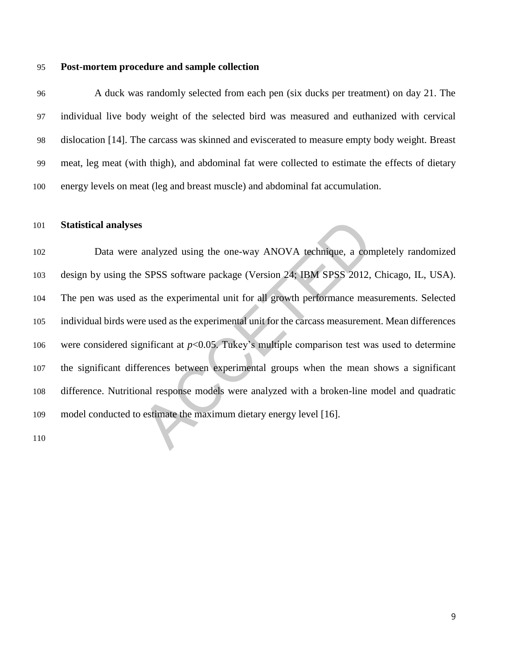#### **Post-mortem procedure and sample collection**

 A duck was randomly selected from each pen (six ducks per treatment) on day 21. The individual live body weight of the selected bird was measured and euthanized with cervical dislocation [14]. The carcass was skinned and eviscerated to measure empty body weight. Breast meat, leg meat (with thigh), and abdominal fat were collected to estimate the effects of dietary energy levels on meat (leg and breast muscle) and abdominal fat accumulation.

#### **Statistical analyses**

analyzed using the one-way ANOVA technique, a completionally<br>expose to the specific complete SPSS software package (Version 24; IBM SPSS 2012, Ching<br>as the experimental unit for all growth performance measure<br>re used as t Data were analyzed using the one-way ANOVA technique, a completely randomized design by using the SPSS software package (Version 24; IBM SPSS 2012, Chicago, IL, USA). The pen was used as the experimental unit for all growth performance measurements. Selected individual birds were used as the experimental unit for the carcass measurement. Mean differences 106 were considered significant at  $p<0.05$ . Tukey's multiple comparison test was used to determine the significant differences between experimental groups when the mean shows a significant difference. Nutritional response models were analyzed with a broken-line model and quadratic model conducted to estimate the maximum dietary energy level [16].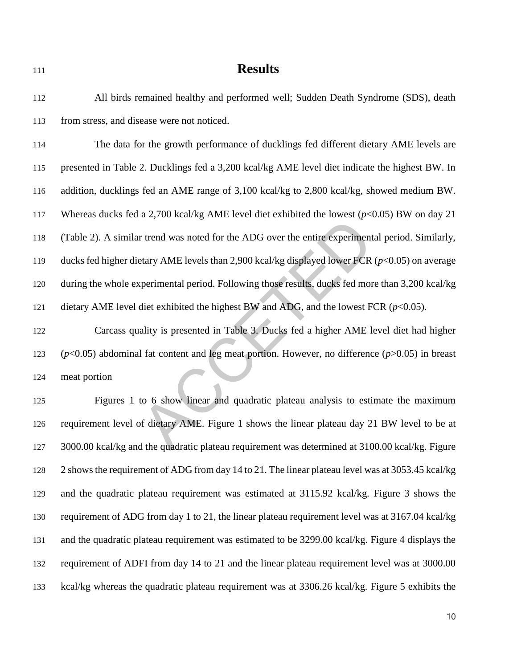# **Results**

 All birds remained healthy and performed well; Sudden Death Syndrome (SDS), death from stress, and disease were not noticed.

r trend was noted for the ADG over the entire experimental petary AME levels than 2,900 kcal/kg displayed lower FCR (*p*<<br>ciperimental period. Following those results, ducks fed more th<br>diet exhibited the highest BW and AD The data for the growth performance of ducklings fed different dietary AME levels are presented in Table 2. Ducklings fed a 3,200 kcal/kg AME level diet indicate the highest BW. In addition, ducklings fed an AME range of 3,100 kcal/kg to 2,800 kcal/kg, showed medium BW. Whereas ducks fed a 2,700 kcal/kg AME level diet exhibited the lowest (*p*<0.05) BW on day 21 (Table 2). A similar trend was noted for the ADG over the entire experimental period. Similarly, ducks fed higher dietary AME levels than 2,900 kcal/kg displayed lower FCR (*p*<0.05) on average during the whole experimental period. Following those results, ducks fed more than 3,200 kcal/kg 121 dietary AME level diet exhibited the highest BW and ADG, and the lowest FCR  $(p<0.05)$ .

 Carcass quality is presented in Table 3. Ducks fed a higher AME level diet had higher (*p*<0.05) abdominal fat content and leg meat portion. However, no difference (*p*>0.05) in breast meat portion

 Figures 1 to 6 show linear and quadratic plateau analysis to estimate the maximum requirement level of dietary AME. Figure 1 shows the linear plateau day 21 BW level to be at 3000.00 kcal/kg and the quadratic plateau requirement was determined at 3100.00 kcal/kg. Figure 2 shows the requirement of ADG from day 14 to 21. The linear plateau level was at 3053.45 kcal/kg and the quadratic plateau requirement was estimated at 3115.92 kcal/kg. Figure 3 shows the requirement of ADG from day 1 to 21, the linear plateau requirement level was at 3167.04 kcal/kg and the quadratic plateau requirement was estimated to be 3299.00 kcal/kg. Figure 4 displays the requirement of ADFI from day 14 to 21 and the linear plateau requirement level was at 3000.00 kcal/kg whereas the quadratic plateau requirement was at 3306.26 kcal/kg. Figure 5 exhibits the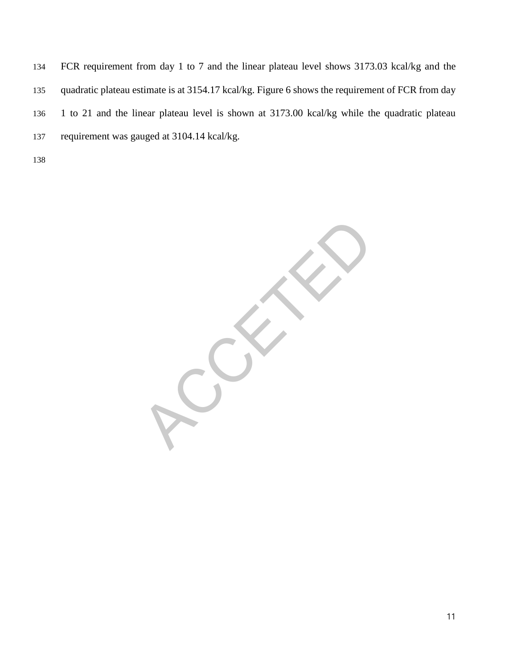FCR requirement from day 1 to 7 and the linear plateau level shows 3173.03 kcal/kg and the quadratic plateau estimate is at 3154.17 kcal/kg. Figure 6 shows the requirement of FCR from day 1 to 21 and the linear plateau level is shown at 3173.00 kcal/kg while the quadratic plateau requirement was gauged at 3104.14 kcal/kg.

RECK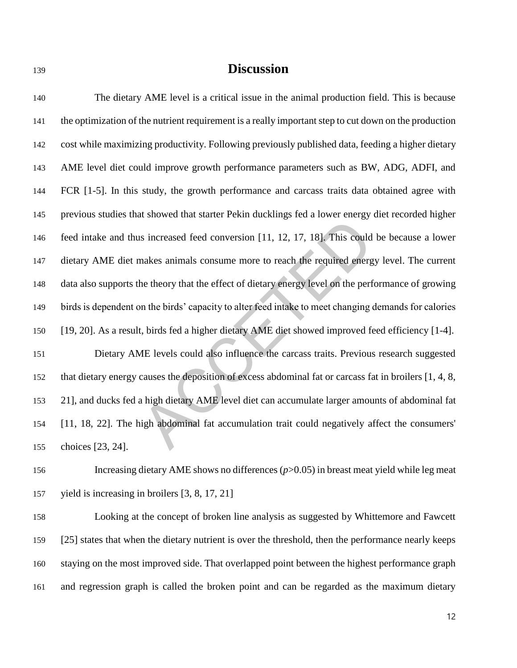# **Discussion**

Expressed feed conversion [11, 12, 17, 18]. This could be makes animals consume more to reach the required energy level be theory that the effect of dietary energy level on the perform of the birds' capacity to alter feed The dietary AME level is a critical issue in the animal production field. This is because the optimization of the nutrient requirement is a really important step to cut down on the production cost while maximizing productivity. Following previously published data, feeding a higher dietary AME level diet could improve growth performance parameters such as BW, ADG, ADFI, and FCR [1-5]. In this study, the growth performance and carcass traits data obtained agree with previous studies that showed that starter Pekin ducklings fed a lower energy diet recorded higher feed intake and thus increased feed conversion [11, 12, 17, 18]. This could be because a lower dietary AME diet makes animals consume more to reach the required energy level. The current data also supports the theory that the effect of dietary energy level on the performance of growing birds is dependent on the birds' capacity to alter feed intake to meet changing demands for calories [19, 20]. As a result, birds fed a higher dietary AME diet showed improved feed efficiency [1-4]. Dietary AME levels could also influence the carcass traits. Previous research suggested that dietary energy causes the deposition of excess abdominal fat or carcass fat in broilers [1, 4, 8, 21], and ducks fed a high dietary AME level diet can accumulate larger amounts of abdominal fat [11, 18, 22]. The high abdominal fat accumulation trait could negatively affect the consumers' choices [23, 24].

 Increasing dietary AME shows no differences (*p*>0.05) in breast meat yield while leg meat yield is increasing in broilers [3, 8, 17, 21]

 Looking at the concept of broken line analysis as suggested by Whittemore and Fawcett [25] states that when the dietary nutrient is over the threshold, then the performance nearly keeps staying on the most improved side. That overlapped point between the highest performance graph and regression graph is called the broken point and can be regarded as the maximum dietary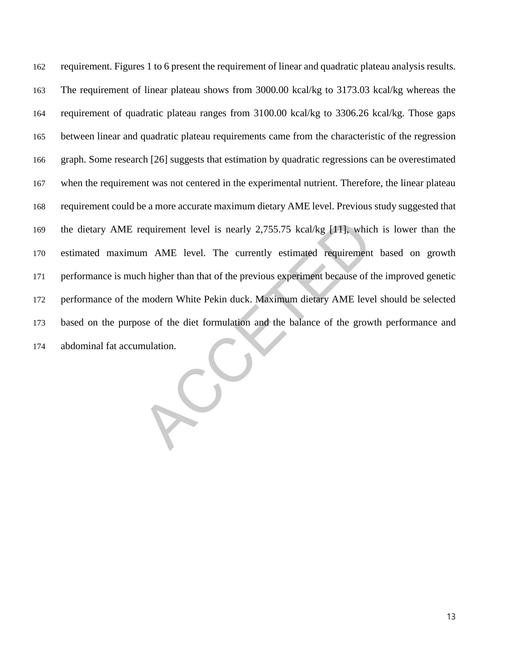requirement level is nearly 2,755.75 kcal/kg [11], which is<br>m AME level. The currently estimated requirement ba<br>h higher than that of the previous experiment because of the i<br>modern White Pekin duck. Maximum dietary AME le requirement. Figures 1 to 6 present the requirement of linear and quadratic plateau analysis results. The requirement of linear plateau shows from 3000.00 kcal/kg to 3173.03 kcal/kg whereas the requirement of quadratic plateau ranges from 3100.00 kcal/kg to 3306.26 kcal/kg. Those gaps between linear and quadratic plateau requirements came from the characteristic of the regression graph. Some research [26] suggests that estimation by quadratic regressions can be overestimated when the requirement was not centered in the experimental nutrient. Therefore, the linear plateau requirement could be a more accurate maximum dietary AME level. Previous study suggested that the dietary AME requirement level is nearly 2,755.75 kcal/kg [11], which is lower than the estimated maximum AME level. The currently estimated requirement based on growth performance is much higher than that of the previous experiment because of the improved genetic performance of the modern White Pekin duck. Maximum dietary AME level should be selected based on the purpose of the diet formulation and the balance of the growth performance and abdominal fat accumulation.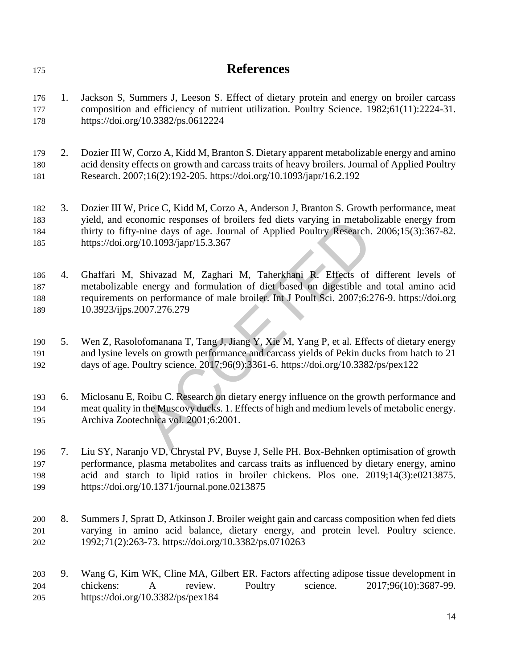| 175                      |    | <b>References</b>                                                                                                                                                                                                                                                                                                          |
|--------------------------|----|----------------------------------------------------------------------------------------------------------------------------------------------------------------------------------------------------------------------------------------------------------------------------------------------------------------------------|
| 176<br>177<br>178        | 1. | Jackson S, Summers J, Leeson S. Effect of dietary protein and energy on broiler carcass<br>composition and efficiency of nutrient utilization. Poultry Science. 1982;61(11):2224-31.<br>https://doi.org/10.3382/ps.0612224                                                                                                 |
| 179<br>180<br>181        | 2. | Dozier III W, Corzo A, Kidd M, Branton S. Dietary apparent metabolizable energy and amino<br>acid density effects on growth and carcass traits of heavy broilers. Journal of Applied Poultry<br>Research. 2007;16(2):192-205. https://doi.org/10.1093/japr/16.2.192                                                        |
| 182<br>183<br>184<br>185 | 3. | Dozier III W, Price C, Kidd M, Corzo A, Anderson J, Branton S. Growth performance, meat<br>yield, and economic responses of broilers fed diets varying in metabolizable energy from<br>thirty to fifty-nine days of age. Journal of Applied Poultry Research. 2006;15(3):367-82.<br>https://doi.org/10.1093/japr/15.3.367  |
| 186<br>187<br>188<br>189 | 4. | Ghaffari M, Shivazad M, Zaghari M, Taherkhani R. Effects of different levels of<br>metabolizable energy and formulation of diet based on digestible and total amino acid<br>requirements on performance of male broiler. Int J Poult Sci. 2007;6:276-9. https://doi.org<br>10.3923/ijps.2007.276.279                       |
| 190<br>191<br>192        | 5. | Wen Z, Rasolofomanana T, Tang J, Jiang Y, Xie M, Yang P, et al. Effects of dietary energy<br>and lysine levels on growth performance and carcass yields of Pekin ducks from hatch to 21<br>days of age. Poultry science. 2017;96(9):3361-6. https://doi.org/10.3382/ps/pex122                                              |
| 193<br>194<br>195        | 6. | Miclosanu E, Roibu C. Research on dietary energy influence on the growth performance and<br>meat quality in the Muscovy ducks. 1. Effects of high and medium levels of metabolic energy.<br>Archiva Zootechnica vol. 2001;6:2001.                                                                                          |
| 196<br>197<br>198<br>199 | 7. | Liu SY, Naranjo VD, Chrystal PV, Buyse J, Selle PH. Box-Behnken optimisation of growth<br>performance, plasma metabolites and carcass traits as influenced by dietary energy, amino<br>acid and starch to lipid ratios in broiler chickens. Plos one. 2019;14(3):e0213875.<br>https://doi.org/10.1371/journal.pone.0213875 |

 8. Summers J, Spratt D, Atkinson J. Broiler weight gain and carcass composition when fed diets varying in amino acid balance, dietary energy, and protein level. Poultry science. 1992;71(2):263-73. https://doi.org/10.3382/ps.0710263

203 9. Wang G, Kim WK, Cline MA, Gilbert ER. Factors affecting adipose tissue development in chickens: A review. Poultry science. 2017;96(10):3687-99. chickens: A review. Poultry science. 2017;96(10):3687-99. https://doi.org/10.3382/ps/pex184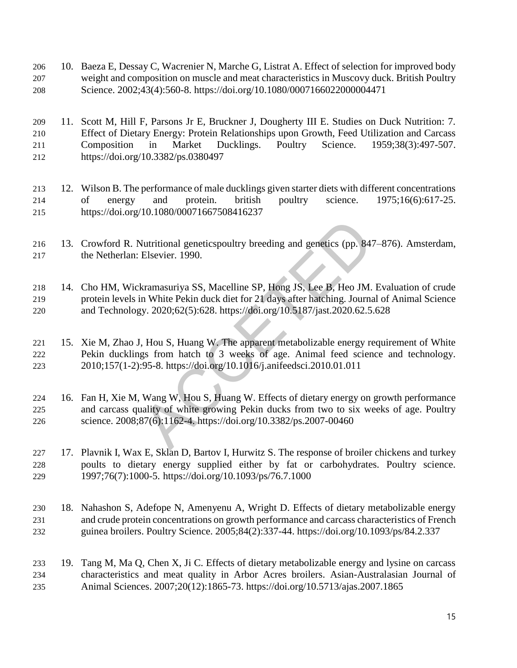- 10. Baeza E, Dessay C, Wacrenier N, Marche G, Listrat A. Effect of selection for improved body weight and composition on muscle and meat characteristics in Muscovy duck. British Poultry Science. 2002;43(4):560-8. https://doi.org/10.1080/0007166022000004471
- 11. Scott M, Hill F, Parsons Jr E, Bruckner J, Dougherty III E. Studies on Duck Nutrition: 7. Effect of Dietary Energy: Protein Relationships upon Growth, Feed Utilization and Carcass Composition in Market Ducklings. Poultry Science. 1959;38(3):497-507. https://doi.org/10.3382/ps.0380497
- 12. Wilson B. The performance of male ducklings given starter diets with different concentrations of energy and protein. british poultry science. 1975;16(6):617-25. https://doi.org/10.1080/00071667508416237
- 13. Crowford R. Nutritional geneticspoultry breeding and genetics (pp. 847–876). Amsterdam, the Netherlan: Elsevier. 1990.
- Nutritional geneticspoultry breeding and genetics (pp. 847–8'<br>Elsevier. 1990.<br>
kramasuriya SS, Macelline SP, Hong JS, Lee B, Heo JM. Evan White Pekin duck diet for 21 days after hatching. Journal of<br>
y. 2020;62(5):628. htt 14. Cho HM, Wickramasuriya SS, Macelline SP, Hong JS, Lee B, Heo JM. Evaluation of crude protein levels in White Pekin duck diet for 21 days after hatching. Journal of Animal Science and Technology. 2020;62(5):628. https://doi.org/10.5187/jast.2020.62.5.628
- 15. Xie M, Zhao J, Hou S, Huang W. The apparent metabolizable energy requirement of White Pekin ducklings from hatch to 3 weeks of age. Animal feed science and technology. 2010;157(1-2):95-8. https://doi.org/10.1016/j.anifeedsci.2010.01.011
- 16. Fan H, Xie M, Wang W, Hou S, Huang W. Effects of dietary energy on growth performance and carcass quality of white growing Pekin ducks from two to six weeks of age. Poultry science. 2008;87(6):1162-4. https://doi.org/10.3382/ps.2007-00460
- 17. Plavnik I, Wax E, Sklan D, Bartov I, Hurwitz S. The response of broiler chickens and turkey poults to dietary energy supplied either by fat or carbohydrates. Poultry science. 1997;76(7):1000-5. https://doi.org/10.1093/ps/76.7.1000
- 18. Nahashon S, Adefope N, Amenyenu A, Wright D. Effects of dietary metabolizable energy and crude protein concentrations on growth performance and carcass characteristics of French guinea broilers. Poultry Science. 2005;84(2):337-44. https://doi.org/10.1093/ps/84.2.337
- 19. Tang M, Ma Q, Chen X, Ji C. Effects of dietary metabolizable energy and lysine on carcass characteristics and meat quality in Arbor Acres broilers. Asian-Australasian Journal of Animal Sciences. 2007;20(12):1865-73. https://doi.org/10.5713/ajas.2007.1865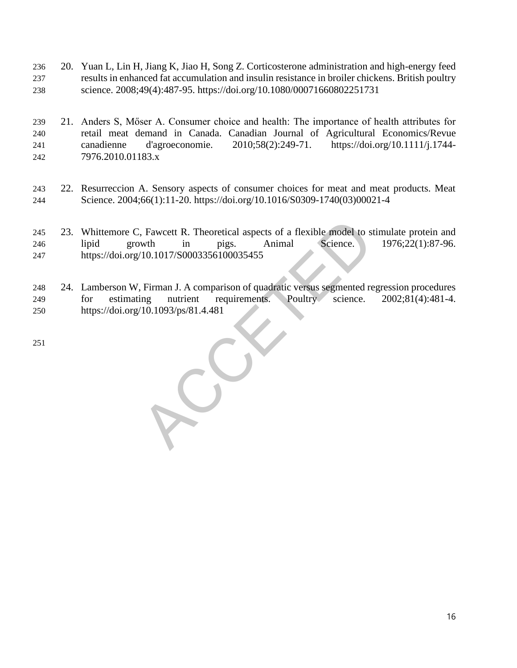- 20. Yuan L, Lin H, Jiang K, Jiao H, Song Z. Corticosterone administration and high-energy feed results in enhanced fat accumulation and insulin resistance in broiler chickens. British poultry science. 2008;49(4):487-95. https://doi.org/10.1080/00071660802251731
- 21. Anders S, Mőser A. Consumer choice and health: The importance of health attributes for 240 retail meat demand in Canada. Canadian Journal of Agricultural Economics/Revue<br>241 canadienne d'agroeconomie. 2010;58(2):249-71. https://doi.org/10.1111/i.1744- canadienne d'agroeconomie. 2010;58(2):249-71. https://doi.org/10.1111/j.1744- 7976.2010.01183.x
- 22. Resurreccion A. Sensory aspects of consumer choices for meat and meat products. Meat Science. 2004;66(1):11-20. https://doi.org/10.1016/S0309-1740(03)00021-4
- Fawcett R. Theoretical aspects of a flexible model to stimus<br>wth in pigs. Animal Science. 19<br>10.1017/S0003356100035455<br>Firman J. A comparison of quadratic versus segmented regre<br>minutient requirements. Poultry science. 20<br> 23. Whittemore C, Fawcett R. Theoretical aspects of a flexible model to stimulate protein and lipid growth in pigs. Animal Science. 1976;22(1):87-96. https://doi.org/10.1017/S0003356100035455
- 24. Lamberson W, Firman J. A comparison of quadratic versus segmented regression procedures for estimating nutrient requirements. Poultry science. 2002;81(4):481-4. https://doi.org/10.1093/ps/81.4.481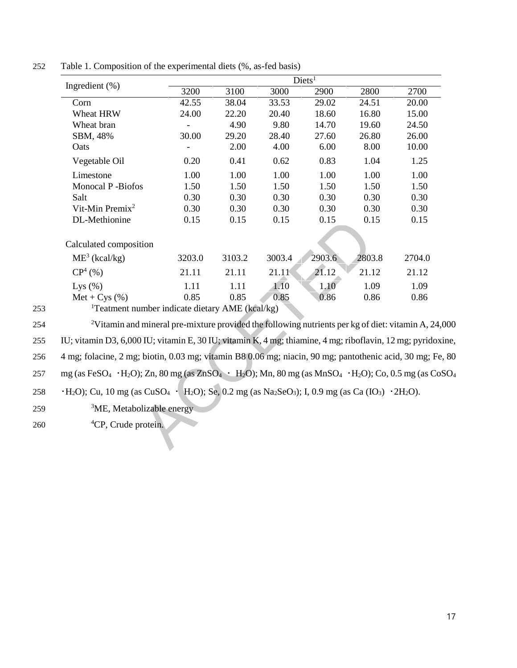| Ingredient $(\%)$                                                                                                                                                                                        |        |        |        | Diets <sup>1</sup> |        |        |
|----------------------------------------------------------------------------------------------------------------------------------------------------------------------------------------------------------|--------|--------|--------|--------------------|--------|--------|
|                                                                                                                                                                                                          | 3200   | 3100   | 3000   | 2900               | 2800   | 2700   |
| Corn                                                                                                                                                                                                     | 42.55  | 38.04  | 33.53  | 29.02              | 24.51  | 20.00  |
| Wheat HRW                                                                                                                                                                                                | 24.00  | 22.20  | 20.40  | 18.60              | 16.80  | 15.00  |
| Wheat bran                                                                                                                                                                                               |        | 4.90   | 9.80   | 14.70              | 19.60  | 24.50  |
| SBM, 48%                                                                                                                                                                                                 | 30.00  | 29.20  | 28.40  | 27.60              | 26.80  | 26.00  |
| Oats                                                                                                                                                                                                     |        | 2.00   | 4.00   | 6.00               | 8.00   | 10.00  |
| Vegetable Oil                                                                                                                                                                                            | 0.20   | 0.41   | 0.62   | 0.83               | 1.04   | 1.25   |
| Limestone                                                                                                                                                                                                | 1.00   | 1.00   | 1.00   | 1.00               | 1.00   | 1.00   |
| Monocal P-Biofos                                                                                                                                                                                         | 1.50   | 1.50   | 1.50   | 1.50               | 1.50   | 1.50   |
| Salt                                                                                                                                                                                                     | 0.30   | 0.30   | 0.30   | 0.30               | 0.30   | 0.30   |
| Vit-Min Premix <sup>2</sup>                                                                                                                                                                              | 0.30   | 0.30   | 0.30   | 0.30               | 0.30   | 0.30   |
| DL-Methionine                                                                                                                                                                                            | 0.15   | 0.15   | 0.15   | 0.15               | 0.15   | 0.15   |
|                                                                                                                                                                                                          |        |        |        |                    |        |        |
| Calculated composition                                                                                                                                                                                   |        |        |        |                    |        |        |
| $ME^3$ (kcal/kg)                                                                                                                                                                                         | 3203.0 | 3103.2 | 3003.4 | 2903.6             | 2803.8 | 2704.0 |
| $CP^{4}(%)$                                                                                                                                                                                              | 21.11  | 21.11  | 21.11  | 21.12              | 21.12  | 21.12  |
| Lys $(\% )$                                                                                                                                                                                              | 1.11   | 1.11   | 1.10   | 1.10               | 1.09   | 1.09   |
| $Met + Cys$ (%)                                                                                                                                                                                          | 0.85   | 0.85   | 0.85   | 0.86               | 0.86   | 0.86   |
| <sup>1</sup> Teatment number indicate dietary AME (kcal/kg)                                                                                                                                              |        |        |        |                    |        |        |
| <sup>2</sup> Vitamin and mineral pre-mixture provided the following nutrients per kg of diet: vitamin A, 24,                                                                                             |        |        |        |                    |        |        |
| IU; vitamin D3, 6,000 IU; vitamin E, 30 IU; vitamin K, 4 mg; thiamine, 4 mg; riboflavin, 12 mg; pyridoxi                                                                                                 |        |        |        |                    |        |        |
| 4 mg; folacine, 2 mg; biotin, 0.03 mg; vitamin B8 0.06 mg; niacin, 90 mg; pantothenic acid, 30 mg; Fe.                                                                                                   |        |        |        |                    |        |        |
| mg (as FeSO <sub>4</sub> · H <sub>2</sub> O); Zn, 80 mg (as ZnSO <sub>4</sub> · H <sub>2</sub> O); Mn, 80 mg (as MnSO <sub>4</sub> · H <sub>2</sub> O); Co, 0.5 mg (as CoS                               |        |        |        |                    |        |        |
| $\cdot$ H <sub>2</sub> O); Cu, 10 mg (as CuSO <sub>4</sub> $\cdot$ H <sub>2</sub> O); Se, 0.2 mg (as Na <sub>2</sub> SeO <sub>3</sub> ); I, 0.9 mg (as Ca (IO <sub>3</sub> ) $\cdot$ 2H <sub>2</sub> O). |        |        |        |                    |        |        |
| <sup>3</sup> ME, Metabolizable energy                                                                                                                                                                    |        |        |        |                    |        |        |
|                                                                                                                                                                                                          |        |        |        |                    |        |        |
| <sup>4</sup> CP, Crude protein.                                                                                                                                                                          |        |        |        |                    |        |        |
|                                                                                                                                                                                                          |        |        |        |                    |        |        |

252 Table 1. Composition of the experimental diets (%, as-fed basis)

253 <sup>1</sup>Teatment number indicate dietary AME (kcal/kg)

254 <sup>2</sup>Vitamin and mineral pre-mixture provided the following nutrients per kg of diet: vitamin A, 24,000 255 IU; vitamin D3, 6,000 IU; vitamin E, 30 IU; vitamin K, 4 mg; thiamine, 4 mg; riboflavin, 12 mg; pyridoxine,

256 4 mg; folacine, 2 mg; biotin, 0.03 mg; vitamin B8 0.06 mg; niacin, 90 mg; pantothenic acid, 30 mg; Fe, 80

257 mg (as FeSO<sub>4</sub> · H<sub>2</sub>O); Zn, 80 mg (as ZnSO<sub>4</sub> · H<sub>2</sub>O); Mn, 80 mg (as MnSO<sub>4</sub> · H<sub>2</sub>O); Co, 0.5 mg (as CoSO<sub>4</sub>

258  $\cdot$  H<sub>2</sub>O); Cu, 10 mg (as CuSO<sub>4</sub>  $\cdot$  H<sub>2</sub>O); Se, 0.2 mg (as Na<sub>2</sub>SeO<sub>3</sub>); I, 0.9 mg (as Ca (IO<sub>3</sub>)  $\cdot$  2H<sub>2</sub>O).

- $259$  <sup>3</sup>ME, Metabolizable energy
- 260 <sup>4</sup>CP, Crude protein.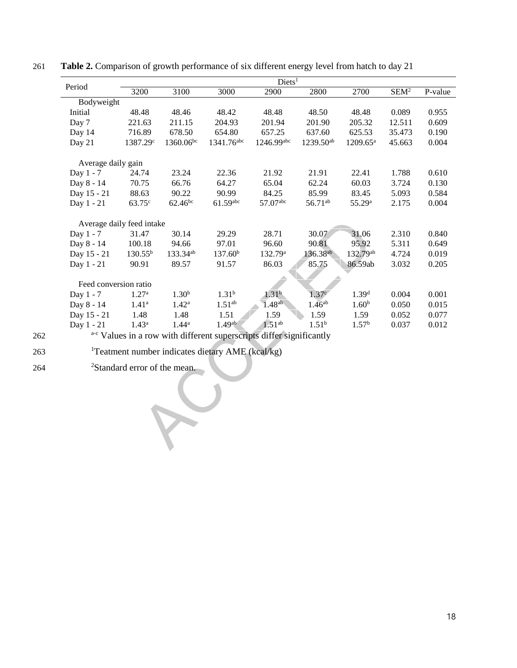| Diets <sup>1</sup> |                                                                     |                                                                       |                        |                                                              |                                                                                           |                  |         |
|--------------------|---------------------------------------------------------------------|-----------------------------------------------------------------------|------------------------|--------------------------------------------------------------|-------------------------------------------------------------------------------------------|------------------|---------|
| 3200               | 3100                                                                | 3000                                                                  | 2900                   | 2800                                                         | 2700                                                                                      | SEM <sup>2</sup> | P-value |
|                    |                                                                     |                                                                       |                        |                                                              |                                                                                           |                  |         |
| 48.48              | 48.46                                                               | 48.42                                                                 | 48.48                  | 48.50                                                        | 48.48                                                                                     | 0.089            | 0.955   |
| 221.63             | 211.15                                                              | 204.93                                                                | 201.94                 | 201.90                                                       | 205.32                                                                                    | 12.511           | 0.609   |
| 716.89             | 678.50                                                              | 654.80                                                                | 657.25                 | 637.60                                                       | 625.53                                                                                    | 35.473           | 0.190   |
| 1387.29c           | 1360.06bc                                                           |                                                                       | 1246.99abc             | 1239.50 <sup>ab</sup>                                        | $1209.65^{\text{a}}$                                                                      | 45.663           | 0.004   |
|                    |                                                                     |                                                                       |                        |                                                              |                                                                                           |                  |         |
| 24.74              | 23.24                                                               | 22.36                                                                 | 21.92                  | 21.91                                                        | 22.41                                                                                     | 1.788            | 0.610   |
| 70.75              | 66.76                                                               | 64.27                                                                 | 65.04                  | 62.24                                                        | 60.03                                                                                     | 3.724            | 0.130   |
| 88.63              | 90.22                                                               | 90.99                                                                 | 84.25                  | 85.99                                                        | 83.45                                                                                     | 5.093            | 0.584   |
| 63.75 <sup>c</sup> | $62.46^{bc}$                                                        | $61.59$ abc                                                           | 57.07abc               | 56.71ab                                                      | 55.29 <sup>a</sup>                                                                        | 2.175            | 0.004   |
|                    |                                                                     |                                                                       |                        |                                                              |                                                                                           |                  |         |
| 31.47              | 30.14                                                               | 29.29                                                                 | 28.71                  | 30.07                                                        | 31.06                                                                                     | 2.310            | 0.840   |
|                    | 94.66                                                               | 97.01                                                                 | 96.60                  | 90.81                                                        | 95.92                                                                                     |                  | 0.649   |
| $130.55^{b}$       | 133.34ab                                                            | 137.60 <sup>b</sup>                                                   | 132.79 <sup>a</sup>    | 136.38 <sup>ab</sup>                                         | 132.79ab                                                                                  | 4.724            | 0.019   |
| 90.91              | 89.57                                                               | 91.57                                                                 | 86.03                  | 85.75                                                        | 86.59ab                                                                                   | 3.032            | 0.205   |
|                    |                                                                     |                                                                       |                        |                                                              |                                                                                           |                  |         |
| 1.27 <sup>a</sup>  | 1.30 <sup>b</sup>                                                   | 1.31 <sup>b</sup>                                                     | 1.31 <sup>b</sup>      |                                                              | 1.39 <sup>d</sup>                                                                         | 0.004            | 0.001   |
| $1.41^{\rm a}$     | $1.42^{\rm a}$                                                      | 1.51 <sup>ab</sup>                                                    | 1.48 <sup>ab</sup>     | 1.46 <sup>ab</sup>                                           | 1.60 <sup>b</sup>                                                                         | 0.050            | 0.015   |
| 1.48               | 1.48                                                                | 1.51                                                                  | 1.59                   | 1.59                                                         | 1.59                                                                                      | 0.052            | 0.077   |
| $1.43^{\rm a}$     | $1.44^{\rm a}$                                                      | 1.49 <sup>ab</sup>                                                    | 1.51 <sup>ab</sup>     | $1.51^{b}$                                                   | 1.57 <sup>b</sup>                                                                         | 0.037            | 0.012   |
|                    |                                                                     |                                                                       |                        |                                                              |                                                                                           |                  |         |
|                    |                                                                     |                                                                       |                        |                                                              |                                                                                           |                  |         |
|                    |                                                                     |                                                                       |                        |                                                              |                                                                                           |                  |         |
|                    |                                                                     |                                                                       |                        |                                                              |                                                                                           |                  |         |
|                    | Bodyweight<br>Average daily gain<br>100.18<br>Feed conversion ratio | Average daily feed intake<br><sup>2</sup> Standard error of the mean. | 1341.76 <sup>abc</sup> | <sup>1</sup> Teatment number indicates dietary AME (kcal/kg) | 1.37 <sup>c</sup><br>a-c Values in a row with different superscripts differ significantly |                  | 5.311   |

261 **Table 2.** Comparison of growth performance of six different energy level from hatch to day 21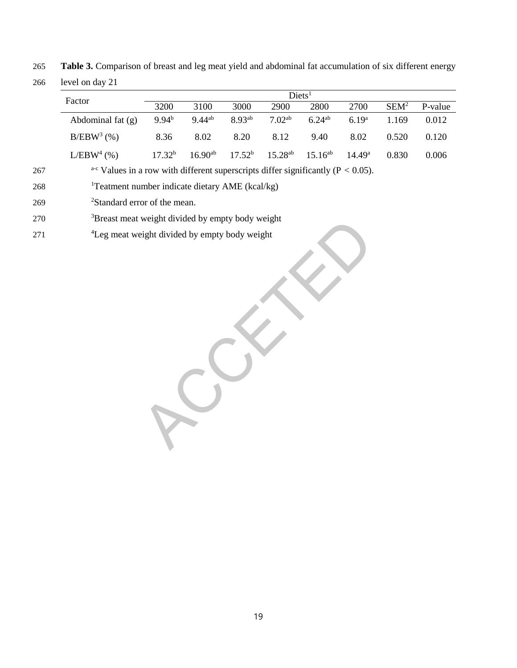265 **Table 3.** Comparison of breast and leg meat yield and abdominal fat accumulation of six different energy

266 level on day 21

|     |                                                                                                 |             |              |             | Diets <sup>1</sup>  |              |                   |                  |         |
|-----|-------------------------------------------------------------------------------------------------|-------------|--------------|-------------|---------------------|--------------|-------------------|------------------|---------|
|     | Factor                                                                                          | 3200        | 3100         | 3000        | 2900                | 2800         | 2700              | SEM <sup>2</sup> | P-value |
|     | Abdominal fat (g)                                                                               | $9.94^{b}$  | $9.44^{ab}$  | 8.93ab      | 7.02 <sup>ab</sup>  | $6.24^{ab}$  | 6.19 <sup>a</sup> | 1.169            | 0.012   |
|     | $B/EBW^3$ (%)                                                                                   | 8.36        | 8.02         | 8.20        | 8.12                | 9.40         | 8.02              | 0.520            | 0.120   |
|     | L/EBW <sup>4</sup> (%)                                                                          | $17.32^{b}$ | $16.90^{ab}$ | $17.52^{b}$ | 15.28 <sup>ab</sup> | $15.16^{ab}$ | $14.49^{\rm a}$   | 0.830            | 0.006   |
| 267 | <sup>a-c</sup> Values in a row with different superscripts differ significantly ( $P < 0.05$ ). |             |              |             |                     |              |                   |                  |         |
| 268 | <sup>1</sup> Teatment number indicate dietary AME (kcal/kg)                                     |             |              |             |                     |              |                   |                  |         |
| 269 | <sup>2</sup> Standard error of the mean.                                                        |             |              |             |                     |              |                   |                  |         |
| 270 | <sup>3</sup> Breast meat weight divided by empty body weight                                    |             |              |             |                     |              |                   |                  |         |
| 271 | <sup>4</sup> Leg meat weight divided by empty body weight                                       |             |              |             |                     |              |                   |                  |         |
|     |                                                                                                 |             |              |             |                     |              |                   |                  |         |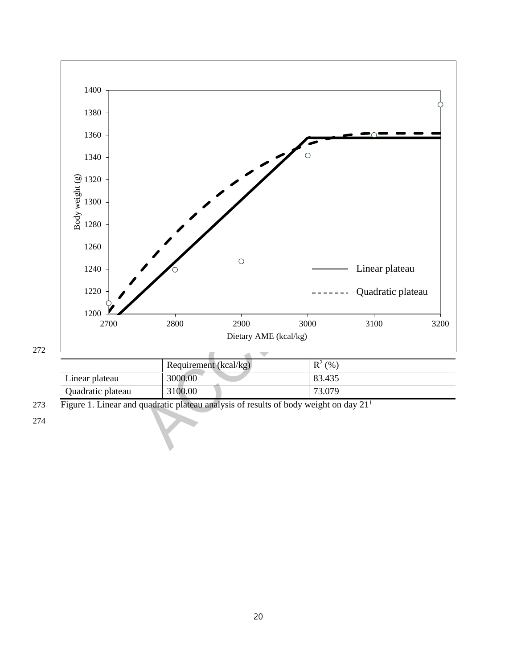

|                   | Requirement (kcal/kg) | $R^2(%$ |
|-------------------|-----------------------|---------|
| Linear plateau    | 3000.00               | 83.435  |
| Quadratic plateau | 3100.00               | 73.079  |

Figure 1. Linear and quadratic plateau analysis of results of body weight on day 21<sup>1</sup>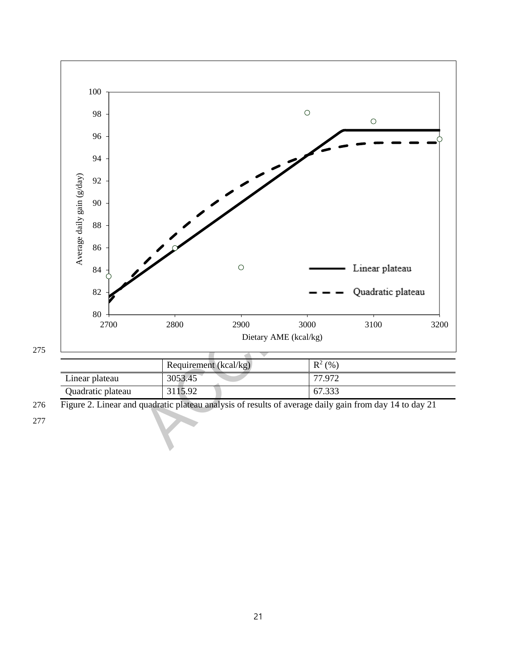

|                   | Requirement $(kcal/kg)$ | $R^2(%$ |
|-------------------|-------------------------|---------|
| Linear plateau    | 3053.45                 | 77.972  |
| Quadratic plateau | 3115.92                 | 67.333  |

Figure 2. Linear and quadratic plateau analysis of results of average daily gain from day 14 to day 21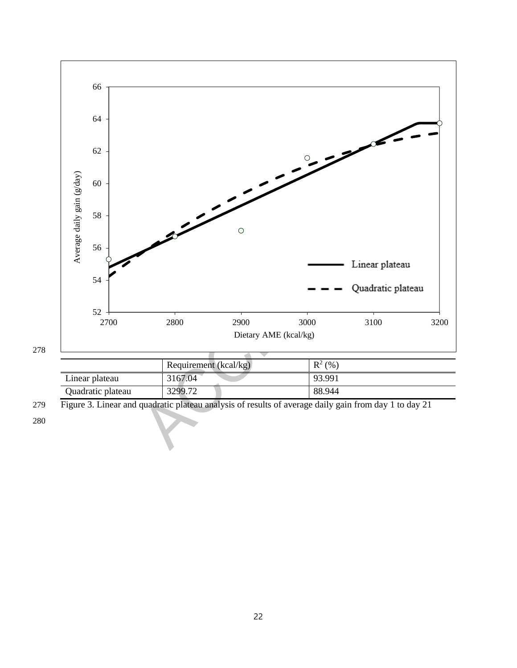

|                   | Requirement (kcal/kg) | $R^2$ (%) |
|-------------------|-----------------------|-----------|
| Linear plateau    | 3167.04               | 93.991    |
| Quadratic plateau | 3299.72               | 88.944    |

Figure 3. Linear and quadratic plateau analysis of results of average daily gain from day 1 to day 21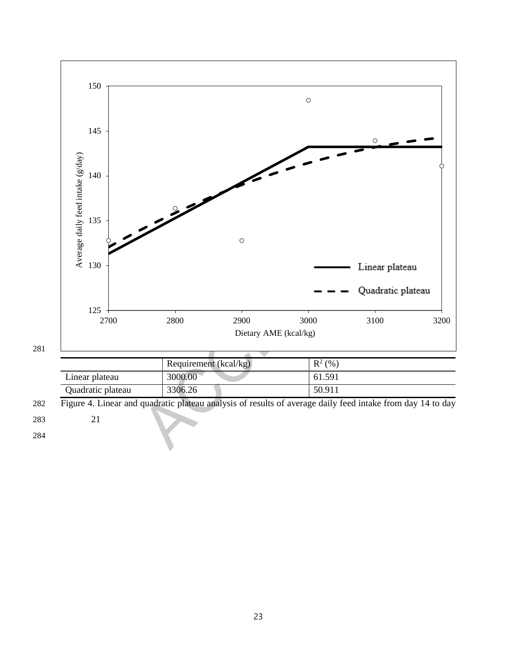

|                   | Requirement (kcal/kg) | $R^2(%)$ |
|-------------------|-----------------------|----------|
| Linear plateau    | 3000.00               | 61.591   |
| Quadratic plateau | 3306.26               | 50.911   |

Figure 4. Linear and quadratic plateau analysis of results of average daily feed intake from day 14 to day

21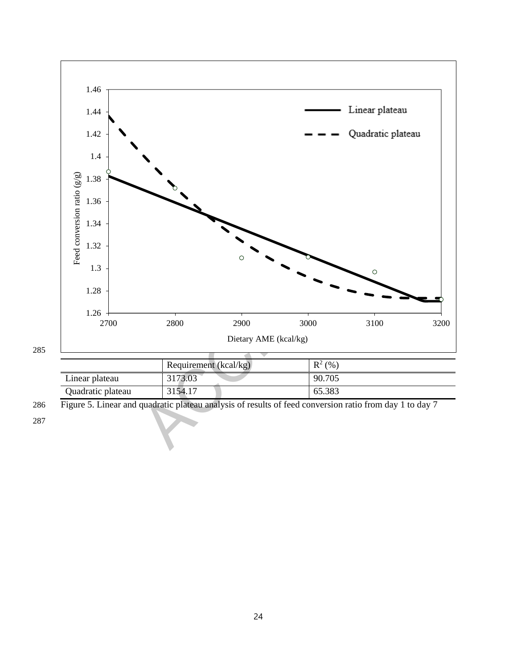

|                   | Requirement (kcal/kg) | $R^2(%)$ |
|-------------------|-----------------------|----------|
| Linear plateau    | 3173.03               | 90.705   |
| Quadratic plateau | 3154.17               | 65.383   |

286 Figure 5. Linear and quadratic plateau analysis of results of feed conversion ratio from day 1 to day 7